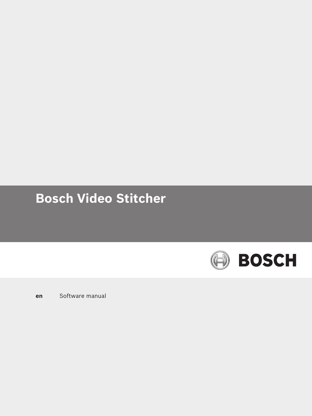# **Bosch Video Stitcher**



**en** Software manual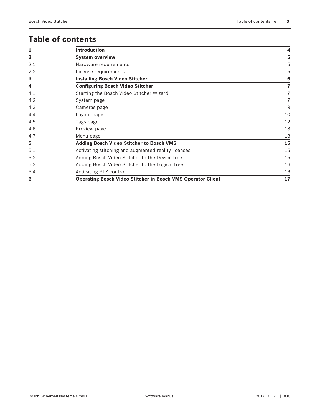# **Table of contents**

| 1              | <b>Introduction</b>                                                | 4                       |
|----------------|--------------------------------------------------------------------|-------------------------|
| $\overline{2}$ | <b>System overview</b>                                             | 5                       |
| 2.1            | Hardware requirements                                              | 5                       |
| 2.2            | License requirements                                               | 5                       |
| 3              | <b>Installing Bosch Video Stitcher</b>                             | 6                       |
| 4              | <b>Configuring Bosch Video Stitcher</b>                            | $\overline{\mathbf{r}}$ |
| 4.1            | Starting the Bosch Video Stitcher Wizard                           | 7                       |
| 4.2            | System page                                                        | 7                       |
| 4.3            | Cameras page                                                       | 9                       |
| 4.4            | Layout page                                                        | 10                      |
| 4.5            | Tags page                                                          | 12                      |
| 4.6            | Preview page                                                       | 13                      |
| 4.7            | Menu page                                                          | 13                      |
| 5              | Adding Bosch Video Stitcher to Bosch VMS                           | 15                      |
| 5.1            | Activating stitching and augmented reality licenses                | 15                      |
| 5.2            | Adding Bosch Video Stitcher to the Device tree                     | 15                      |
| 5.3            | Adding Bosch Video Stitcher to the Logical tree                    | 16                      |
| 5.4            | Activating PTZ control                                             | 16                      |
| 6              | <b>Operating Bosch Video Stitcher in Bosch VMS Operator Client</b> | 17                      |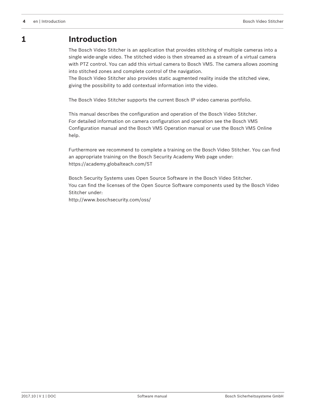# **1 Introduction**

The Bosch Video Stitcher is an application that provides stitching of multiple cameras into a single wide-angle video. The stitched video is then streamed as a stream of a virtual camera with PTZ control. You can add this virtual camera to Bosch VMS. The camera allows zooming into stitched zones and complete control of the navigation.

The Bosch Video Stitcher also provides static augmented reality inside the stitched view, giving the possibility to add contextual information into the video.

The Bosch Video Stitcher supports the current Bosch IP video cameras portfolio.

This manual describes the configuration and operation of the Bosch Video Stitcher. For detailed information on camera configuration and operation see the Bosch VMS Configuration manual and the Bosch VMS Operation manual or use the Bosch VMS Online help.

Furthermore we recommend to complete a training on the Bosch Video Stitcher. You can find an appropriate training on the Bosch Security Academy Web page under: <https://academy.globalteach.com/ST>

Bosch Security Systems uses Open Source Software in the Bosch Video Stitcher. You can find the licenses of the Open Source Software components used by the Bosch Video Stitcher under: http://www.boschsecurity.com/oss/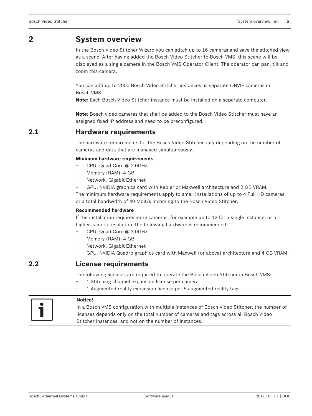# **2 System overview**

In the Bosch Video Stitcher Wizard you can stitch up to 16 cameras and save the stitched view as a scene. After having added the Bosch Video Stitcher to Bosch VMS, this scene will be displayed as a single camera in the Bosch VMS Operator Client. The operator can pan, tilt and zoom this camera.

You can add up to 2000 Bosch Video Stitcher instances as separate ONVIF cameras in Bosch VMS.

**Note:** Each Bosch Video Stitcher instance must be installed on a separate computer.

**Note:** Bosch video cameras that shall be added to the Bosch Video Stitcher must have an assigned fixed IP address and need to be preconfigured.

### **2.1 Hardware requirements**

The hardware requirements for the Bosch Video Stitcher vary depending on the number of cameras and data that are managed simultaneously.

### **Minimum hardware requirements**

- CPU: Quad Core @ 2.0GHz
- Memory (RAM): 4 GB
- Network: Gigabit Ethernet
- GPU: NVIDIA graphics card with Kepler or Maxwell architecture and 2 GB VRAM.

The minimum hardware requirements apply to small installations of up to 4 Full HD cameras, or a total bandwidth of 40 Mbit/s incoming to the Bosch Video Stitcher.

### **Recommended hardware**

If the installation requires more cameras, for example up to 12 for a single instance, or a higher camera resolution, the following hardware is recommended:

- CPU: Quad Core @ 3.0GHz
- Memory (RAM): 4 GB
- Network: Gigabit Ethernet
- GPU: NVIDIA Quadro graphics card with Maxwell (or above) architecture and 4 GB VRAM.

### **2.2 License requirements**

The following licenses are required to operate the Bosch Video Stitcher in Bosch VMS:

- 1 Stitching channel expansion license per camera
- 1 Augmented reality expansion license per 5 augmented reality tags

### **Notice!**

In a Bosch VMS configuration with multiple instances of Bosch Video Stitcher, the number of licenses depends only on the total number of cameras and tags across all Bosch Video Stitcher instances, and not on the number of instances.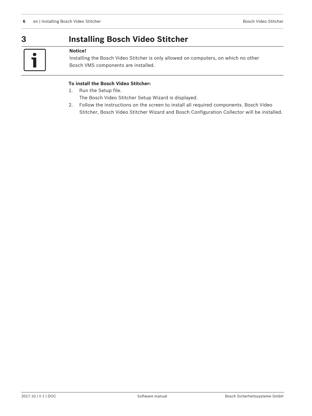# **3 Installing Bosch Video Stitcher**

# $\bullet$ T

### **Notice!**

Installing the Bosch Video Stitcher is only allowed on computers, on which no other Bosch VMS components are installed.

### **To install the Bosch Video Stitcher:**

- 1. Run the Setup file. The Bosch Video Stitcher Setup Wizard is displayed.
- 2. Follow the instructions on the screen to install all required components. Bosch Video Stitcher, Bosch Video Stitcher Wizard and Bosch Configuration Collector will be installed.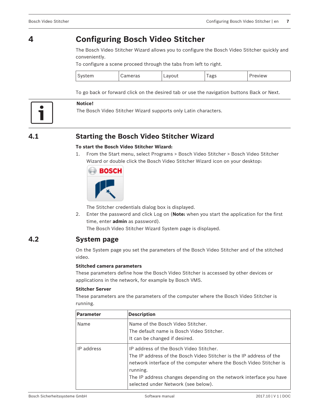# **4 Configuring Bosch Video Stitcher**

The Bosch Video Stitcher Wizard allows you to configure the Bosch Video Stitcher quickly and conveniently.

To configure a scene proceed through the tabs from left to right.

|  |  |  | $\tilde{}$<br>. . |  |
|--|--|--|-------------------|--|
|--|--|--|-------------------|--|

To go back or forward click on the desired tab or use the navigation buttons Back or Next.



### **Notice!**

The Bosch Video Stitcher Wizard supports only Latin characters.

# **4.1 Starting the Bosch Video Stitcher Wizard**

### **To start the Bosch Video Stitcher Wizard:**

1. From the Start menu, select Programs > Bosch Video Stitcher > Bosch Video Stitcher Wizard or double click the Bosch Video Stitcher Wizard icon on your desktop:



The Stitcher credentials dialog box is displayed.

2. Enter the password and click Log on (**Note:** when you start the application for the first time, enter **admin** as password).

The Bosch Video Stitcher Wizard System page is displayed.

### **4.2 System page**

On the System page you set the parameters of the Bosch Video Stitcher and of the stitched video.

### **Stitched camera parameters**

These parameters define how the Bosch Video Stitcher is accessed by other devices or applications in the network, for example by Bosch VMS.

### **Stitcher Server**

These parameters are the parameters of the computer where the Bosch Video Stitcher is running.

| <b>Parameter</b> | <b>Description</b>                                                                                                                                                                                                                                                                                             |
|------------------|----------------------------------------------------------------------------------------------------------------------------------------------------------------------------------------------------------------------------------------------------------------------------------------------------------------|
| Name             | Name of the Bosch Video Stitcher.<br>The default name is Bosch Video Stitcher.<br>It can be changed if desired.                                                                                                                                                                                                |
| IP address       | IP address of the Bosch Video Stitcher.<br>The IP address of the Bosch Video Stitcher is the IP address of the<br>network interface of the computer where the Bosch Video Stitcher is<br>running.<br>The IP address changes depending on the network interface you have<br>selected under Network (see below). |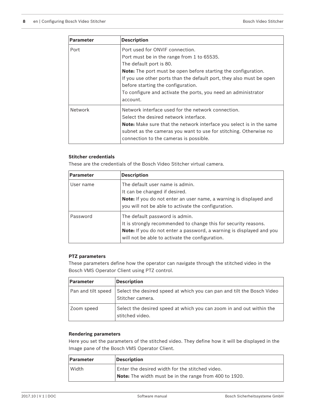| <b>Parameter</b> | <b>Description</b>                                                                                                                                                                                                                                                                                                                                                            |
|------------------|-------------------------------------------------------------------------------------------------------------------------------------------------------------------------------------------------------------------------------------------------------------------------------------------------------------------------------------------------------------------------------|
| Port             | Port used for ONVIF connection.<br>Port must be in the range from 1 to 65535.<br>The default port is 80.<br><b>Note:</b> The port must be open before starting the configuration.<br>If you use other ports than the default port, they also must be open<br>before starting the configuration.<br>To configure and activate the ports, you need an administrator<br>account. |
| Network          | Network interface used for the network connection.<br>Select the desired network interface.<br><b>Note:</b> Make sure that the network interface you select is in the same<br>subnet as the cameras you want to use for stitching. Otherwise no<br>connection to the cameras is possible.                                                                                     |

### **Stitcher credentials**

These are the credentials of the Bosch Video Stitcher virtual camera.

| <b>Parameter</b> | <b>Description</b>                                                                                                                                                        |  |
|------------------|---------------------------------------------------------------------------------------------------------------------------------------------------------------------------|--|
| User name        | The default user name is admin.                                                                                                                                           |  |
|                  | It can be changed if desired.                                                                                                                                             |  |
|                  | <b>Note:</b> If you do not enter an user name, a warning is displayed and<br>you will not be able to activate the configuration.                                          |  |
| Password         | The default password is admin.<br>It is strongly recommended to change this for security reasons.<br>Note: If you do not enter a password, a warning is displayed and you |  |
|                  | will not be able to activate the configuration.                                                                                                                           |  |

### **PTZ parameters**

These parameters define how the operator can navigate through the stitched video in the Bosch VMS Operator Client using PTZ control.

| <b>Parameter</b>   | <b>Description</b>                                                                         |
|--------------------|--------------------------------------------------------------------------------------------|
| Pan and tilt speed | Select the desired speed at which you can pan and tilt the Bosch Video<br>Stitcher camera. |
| Zoom speed         | Select the desired speed at which you can zoom in and out within the<br>stitched video.    |

### **Rendering parameters**

Here you set the parameters of the stitched video. They define how it will be displayed in the Image pane of the Bosch VMS Operator Client.

| <b>Parameter</b> | Description                                            |  |  |
|------------------|--------------------------------------------------------|--|--|
| Width            | Enter the desired width for the stitched video.        |  |  |
|                  | Note: The width must be in the range from 400 to 1920. |  |  |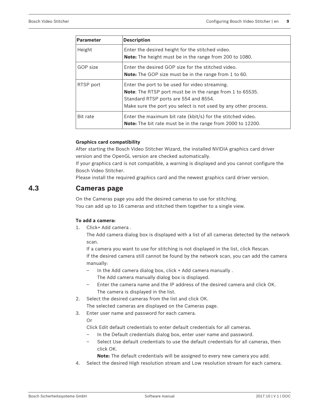| <b>Parameter</b> | <b>Description</b>                                                                                                                                                                                                             |
|------------------|--------------------------------------------------------------------------------------------------------------------------------------------------------------------------------------------------------------------------------|
| Height           | Enter the desired height for the stitched video.<br><b>Note:</b> The height must be in the range from 200 to 1080.                                                                                                             |
| GOP size         | Enter the desired GOP size for the stitched video.<br><b>Note:</b> The GOP size must be in the range from 1 to 60.                                                                                                             |
| RTSP port        | Enter the port to be used for video streaming.<br><b>Note:</b> The RTSP port must be in the range from 1 to 65535.<br>Standard RTSP ports are 554 and 8554.<br>Make sure the port you select is not used by any other process. |
| Bit rate         | Enter the maximum bit rate (kbit/s) for the stitched video.<br><b>Note:</b> The bit rate must be in the range from 2000 to 12200.                                                                                              |

### **Graphics card compatibility**

After starting the Bosch Video Stitcher Wizard, the installed NVIDIA graphics card driver version and the OpenGL version are checked automatically.

If your graphics card is not compatible, a warning is displayed and you cannot configure the Bosch Video Stitcher.

Please install the required graphics card and the newest graphics card driver version.

### **4.3 Cameras page**

On the Cameras page you add the desired cameras to use for stitching. You can add up to 16 cameras and stitched them together to a single view.

### **To add a camera:**

1. Click+ Add camera .

The Add camera dialog box is displayed with a list of all cameras detected by the network scan.

If a camera you want to use for stitching is not displayed in the list, click Rescan. If the desired camera still cannot be found by the network scan, you can add the camera manually:

- In the Add camera dialog box, click + Add camera manually .
	- The Add camera manually dialog box is displayed.
- Enter the camera name and the IP address of the desired camera and click OK. The camera is displayed in the list.
- 2. Select the desired cameras from the list and click OK.

The selected cameras are displayed on the Cameras page.

3. Enter user name and password for each camera.

Or

Click Edit default credentials to enter default credentials for all cameras.

- In the Default credentials dialog box, enter user name and password.
- Select Use default credentials to use the default credentials for all cameras, then click OK.

**Note:** The default credentials will be assigned to every new camera you add.

4. Select the desired High resolution stream and Low resolution stream for each camera.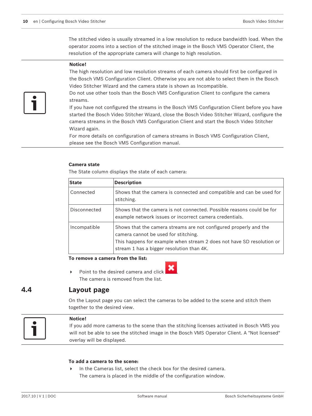The stitched video is usually streamed in a low resolution to reduce bandwidth load. When the operator zooms into a section of the stitched image in the Bosch VMS Operator Client, the resolution of the appropriate camera will change to high resolution.

### **Notice!**

The high resolution and low resolution streams of each camera should first be configured in the Bosch VMS Configuration Client. Otherwise you are not able to select them in the Bosch Video Stitcher Wizard and the camera state is shown as Incompatible.

Do not use other tools than the Bosch VMS Configuration Client to configure the camera streams.

If you have not configured the streams in the Bosch VMS Configuration Client before you have started the Bosch Video Stitcher Wizard, close the Bosch Video Stitcher Wizard, configure the camera streams in the Bosch VMS Configuration Client and start the Bosch Video Stitcher Wizard again.

For more details on configuration of camera streams in Bosch VMS Configuration Client, please see the Bosch VMS Configuration manual.

### **Camera state**

The State column displays the state of each camera:

| <b>State</b> | <b>Description</b>                                                                                                                                                                                                              |
|--------------|---------------------------------------------------------------------------------------------------------------------------------------------------------------------------------------------------------------------------------|
| Connected    | Shows that the camera is connected and compatible and can be used for<br>stitching.                                                                                                                                             |
| Disconnected | Shows that the camera is not connected. Possible reasons could be for<br>example network issues or incorrect camera credentials.                                                                                                |
| Incompatible | Shows that the camera streams are not configured properly and the<br>camera cannot be used for stitching.<br>This happens for example when stream 2 does not have SD resolution or<br>stream 1 has a bigger resolution than 4K. |

**To remove a camera from the list:**

Point to the desired camera and click The camera is removed from the list.

### **4.4 Layout page**

On the Layout page you can select the cameras to be added to the scene and stitch them together to the desired view.



#### **Notice!**

If you add more cameras to the scene than the stitching licenses activated in Bosch VMS you will not be able to see the stitched image in the Bosch VMS Operator Client. A "Not licensed" overlay will be displayed.

#### **To add a camera to the scene:**

In the Cameras list, select the check box for the desired camera. The camera is placed in the middle of the configuration window.

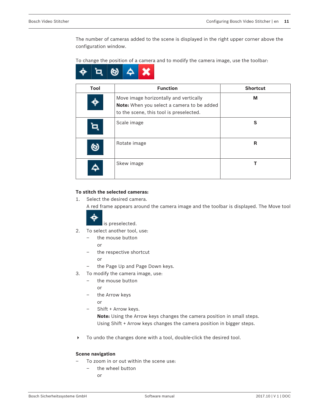The number of cameras added to the scene is displayed in the right upper corner above the configuration window.

To change the position of a camera and to modify the camera image, use the toolbar:

☺ с

| Tool | <b>Function</b>                                                                                                                 | <b>Shortcut</b> |
|------|---------------------------------------------------------------------------------------------------------------------------------|-----------------|
|      | Move image horizontally and vertically<br>Note: When you select a camera to be added<br>to the scene, this tool is preselected. | M               |
|      | Scale image                                                                                                                     | S               |
|      | Rotate image                                                                                                                    | R               |
|      | Skew image                                                                                                                      |                 |

### **To stitch the selected cameras:**

1. Select the desired camera.

A red frame appears around the camera image and the toolbar is displayed. The Move tool



is preselected.

- 2. To select another tool, use:
	- the mouse button
		- or
	- the respective shortcut
		- or
	- the Page Up and Page Down keys.
- 3. To modify the camera image, use:
	- the mouse button or
	- the Arrow keys
		- or
	- Shift + Arrow keys.

**Note:** Using the Arrow keys changes the camera position in small steps. Using Shift + Arrow keys changes the camera position in bigger steps.

4 To undo the changes done with a tool, double-click the desired tool.

### **Scene navigation**

- To zoom in or out within the scene use:
	- the wheel button
		- or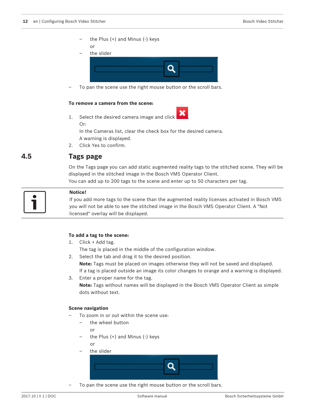the Plus  $(+)$  and Minus  $(-)$  keys

or





– To pan the scene use the right mouse button or the scroll bars.

### **To remove a camera from the scene:**

1. Select the desired camera image and click Or:

In the Cameras list, clear the check box for the desired camera. A warning is displayed.

2. Click Yes to confirm.

### **4.5 Tags page**

On the Tags page you can add static augmented reality tags to the stitched scene. They will be displayed in the stitched image in the Bosch VMS Operator Client.

You can add up to 200 tags to the scene and enter up to 50 characters per tag.



### **Notice!**

If you add more tags to the scene than the augmented reality licenses activated in Bosch VMS you will not be able to see the stitched image in the Bosch VMS Operator Client. A "Not licensed" overlay will be displayed.

### **To add a tag to the scene:**

- 1. Click + Add tag.
	- The tag is placed in the middle of the configuration window.
- 2. Select the tab and drag it to the desired position.

**Note:** Tags must be placed on images otherwise they will not be saved and displayed. If a tag is placed outside an image its color changes to orange and a warning is displayed.

3. Enter a proper name for the tag.

**Note:** Tags without names will be displayed in the Bosch VMS Operator Client as simple dots without text.

### **Scene navigation**

- To zoom in or out within the scene use:
	- the wheel button
		- or
	- the Plus  $(+)$  and Minus  $(-)$  keys or
	- the slider



– To pan the scene use the right mouse button or the scroll bars.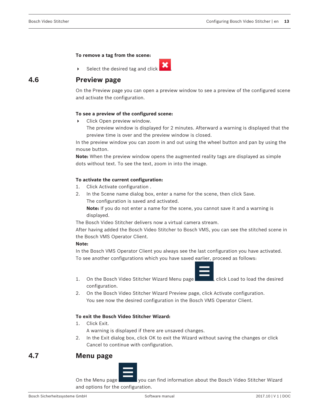#### **To remove a tag from the scene:**

Select the desired tag and click  $\overrightarrow{A}$ 



## **4.6 Preview page**

On the Preview page you can open a preview window to see a preview of the configured scene and activate the configuration.

### **To see a preview of the configured scene:**

- Click Open preview window.
	- The preview window is displayed for 2 minutes. Afterward a warning is displayed that the preview time is over and the preview window is closed.

In the preview window you can zoom in and out using the wheel button and pan by using the mouse button.

**Note:** When the preview window opens the augmented reality tags are displayed as simple dots without text. To see the text, zoom in into the image.

### **To activate the current configuration:**

- 1. Click Activate configuration .
- 2. In the Scene name dialog box, enter a name for the scene, then click Save. The configuration is saved and activated.

**Note:** If you do not enter a name for the scene, you cannot save it and a warning is displayed.

The Bosch Video Stitcher delivers now a virtual camera stream.

After having added the Bosch Video Stitcher to Bosch VMS, you can see the stitched scene in the Bosch VMS Operator Client.

### **Note:**

In the Bosch VMS Operator Client you always see the last configuration you have activated. To see another configurations which you have saved earlier, proceed as follows:



- 1. On the Bosch Video Stitcher Wizard Menu page **1. Click Load to load the desired** configuration.
- 2. On the Bosch Video Stitcher Wizard Preview page, click Activate configuration. You see now the desired configuration in the Bosch VMS Operator Client.

### **To exit the Bosch Video Stitcher Wizard:**

1. Click Exit.

A warning is displayed if there are unsaved changes.

2. In the Exit dialog box, click OK to exit the Wizard without saving the changes or click Cancel to continue with configuration.

### **4.7 Menu page**



On the Menu page you can find information about the Bosch Video Stitcher Wizard and options for the configuration.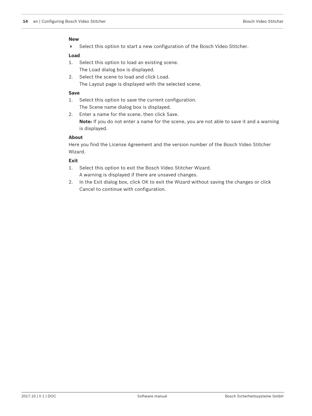### **New**

4 Select this option to start a new configuration of the Bosch Video Stitcher.

### **Load**

- 1. Select this option to load an existing scene. The Load dialog box is displayed.
- 2. Select the scene to load and click Load. The Layout page is displayed with the selected scene.

#### **Save**

- 1. Select this option to save the current configuration. The Scene name dialog box is displayed.
- 2. Enter a name for the scene, then click Save.

**Note:** If you do not enter a name for the scene, you are not able to save it and a warning is displayed.

### **About**

Here you find the License Agreement and the version number of the Bosch Video Stitcher Wizard.

### **Exit**

- 1. Select this option to exit the Bosch Video Stitcher Wizard. A warning is displayed if there are unsaved changes.
- 2. In the Exit dialog box, click OK to exit the Wizard without saving the changes or click Cancel to continue with configuration.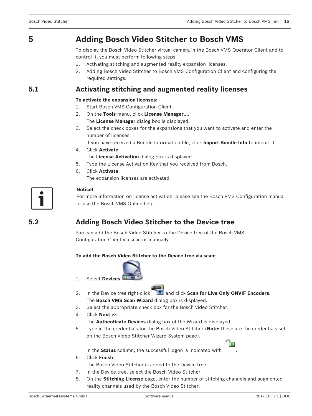# **5 Adding Bosch Video Stitcher to Bosch VMS**

To display the Bosch Video Stitcher virtual camera in the Bosch VMS Operator Client and to control it, you must perform following steps:

- 1. Activating stitching and augmented reality expansion licenses.
- 2. Adding Bosch Video Stitcher to Bosch VMS Configuration Client and configuring the required settings.

### **5.1 Activating stitching and augmented reality licenses**

### **To activate the expansion licenses:**

- 1. Start Bosch VMS Configuration Client.
- 2. On the **Tools** menu, click **License Manager...**.
	- The **License Manager** dialog box is displayed.
- 3. Select the check boxes for the expansions that you want to activate and enter the number of licenses.

If you have received a Bundle Information file, click **Import Bundle Info** to import it.

- 4. Click **Activate**. The **License Activation** dialog box is displayed.
- 5. Type the License Activation Key that you received from Bosch.
- 6. Click **Activate**.

The expansion licenses are activated.



### **Notice!**

For more information on license activation, please see the Bosch VMS Configuration manual or use the Bosch VMS Online help.

## **5.2 Adding Bosch Video Stitcher to the Device tree**

You can add the Bosch Video Stitcher to the Device tree of the Bosch VMS Configuration Client via scan or manually.

### **To add the Bosch Video Stitcher to the Device tree via scan:**





- 3. Select the appropriate check box for the Bosch Video Stitcher.
- 4. Click **Next >>**. The **Authenticate Devices** dialog box of the Wizard is displayed.
- 5. Type in the credentials for the Bosch Video Stitcher (**Note:** these are the credentials set on the Bosch Video Stitcher Wizard System page).

In the **Status** column, the successful logon is indicated with .

6. Click **Finish**.

The Bosch Video Stitcher is added to the Device tree.

- 7. In the Device tree, select the Bosch Video Stitcher.
- 8. On the **Stitching License** page, enter the number of stitching channels and augmented reality channels used by the Bosch Video Stitcher.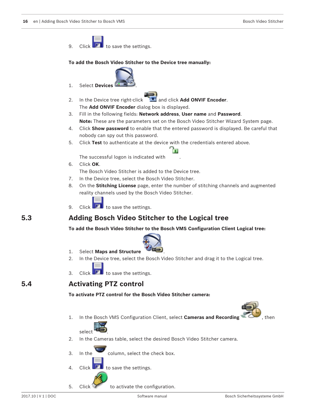





- 2. In the Cameras table, select the desired Bosch Video Stitcher camera.
- $3.$  In the column, select the check box.
- 4. Click  $\blacksquare$  to save the settings.
- 5. Click to activate the configuration.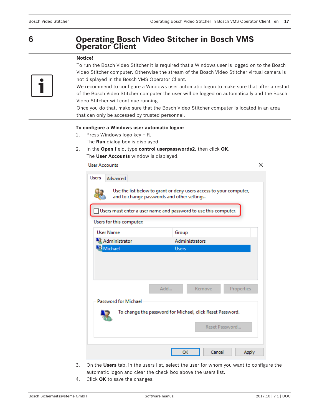## **6 Operating Bosch Video Stitcher in Bosch VMS Operator Client**

### **Notice!**



To run the Bosch Video Stitcher it is required that a Windows user is logged on to the Bosch Video Stitcher computer. Otherwise the stream of the Bosch Video Stitcher virtual camera is not displayed in the Bosch VMS Operator Client.

We recommend to configure a Windows user automatic logon to make sure that after a restart of the Bosch Video Stitcher computer the user will be logged on automatically and the Bosch Video Stitcher will continue running.

Once you do that, make sure that the Bosch Video Stitcher computer is located in an area that can only be accessed by trusted personnel.

### **To configure a Windows user automatic logon:**

- 1. Press Windows logo key + R. The **Run** dialog box is displayed.
- 2. In the **Open** field, type **control userpasswords2**, then click **OK**. The **User Accounts** window is displayed.

**User Accounts** 

| Users<br>Advanced                                                                                                 |                       |  |  |
|-------------------------------------------------------------------------------------------------------------------|-----------------------|--|--|
| Use the list below to grant or deny users access to your computer,<br>and to change passwords and other settings. |                       |  |  |
| Users must enter a user name and password to use this computer.                                                   |                       |  |  |
| Users for this computer:                                                                                          |                       |  |  |
| <b>User Name</b>                                                                                                  | Group                 |  |  |
| Administrator                                                                                                     | <b>Administrators</b> |  |  |
| Michael                                                                                                           | <b>Users</b>          |  |  |
| Add                                                                                                               | Remove<br>Properties  |  |  |
| <b>Password for Michael</b><br>To change the password for Michael, click Reset Password.<br>Reset Password        |                       |  |  |
|                                                                                                                   | Cancel<br>OK<br>Apply |  |  |

- 3. On the **Users** tab, in the users list, select the user for whom you want to configure the automatic logon and clear the check box above the users list.
- 4. Click **OK** to save the changes.

 $\times$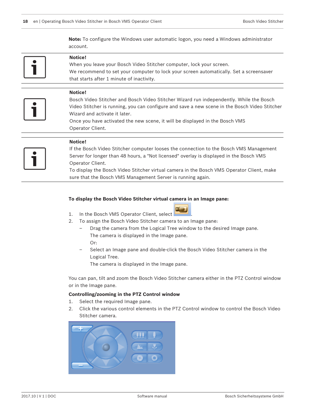**Note:** To configure the Windows user automatic logon, you need a Windows administrator account.

**Notice!** When you leave your Bosch Video Stitcher computer, lock your screen. We recommend to set your computer to lock your screen automatically. Set a screensaver

that starts after 1 minute of inactivity.



### **Notice!**

Bosch Video Stitcher and Bosch Video Stitcher Wizard run independently. While the Bosch Video Stitcher is running, you can configure and save a new scene in the Bosch Video Stitcher Wizard and activate it later.

Once you have activated the new scene, it will be displayed in the Bosch VMS Operator Client.



### **Notice!**

If the Bosch Video Stitcher computer looses the connection to the Bosch VMS Management Server for longer than 48 hours, a "Not licensed" overlay is displayed in the Bosch VMS Operator Client.

To display the Bosch Video Stitcher virtual camera in the Bosch VMS Operator Client, make sure that the Bosch VMS Management Server is running again.

#### **To display the Bosch Video Stitcher virtual camera in an Image pane:**

- 1. In the Bosch VMS Operator Client, select
- 
- 2. To assign the Bosch Video Stitcher camera to an Image pane:
	- Drag the camera from the Logical Tree window to the desired Image pane. The camera is displayed in the Image pane. Or:
	- Select an Image pane and double-click the Bosch Video Stitcher camera in the Logical Tree.

The camera is displayed in the Image pane.

You can pan, tilt and zoom the Bosch Video Stitcher camera either in the PTZ Control window or in the Image pane.

### **Controlling/zooming in the PTZ Control window**

- 1. Select the required Image pane.
- 2. Click the various control elements in the PTZ Control window to control the Bosch Video Stitcher camera.

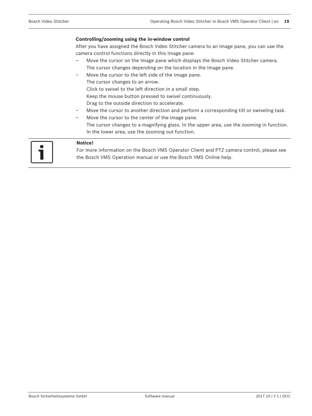#### **Controlling/zooming using the in-window control**

After you have assigned the Bosch Video Stitcher camera to an Image pane, you can use the camera control functions directly in this Image pane.

- Move the cursor on the Image pane which displays the Bosch Video Stitcher camera. The cursor changes depending on the location in the Image pane.
- Move the cursor to the left side of the Image pane.
- The cursor changes to an arrow.
	- Click to swivel to the left direction in a small step.
- Keep the mouse button pressed to swivel continuously.
- Drag to the outside direction to accelerate.
- Move the cursor to another direction and perform a corresponding tilt or swiveling task.
- Move the cursor to the center of the Image pane.

The cursor changes to a magnifying glass. In the upper area, use the zooming in function. In the lower area, use the zooming out function.

### **Notice!**

For more information on the Bosch VMS Operator Client and PTZ camera control, please see the Bosch VMS Operation manual or use the Bosch VMS Online help.